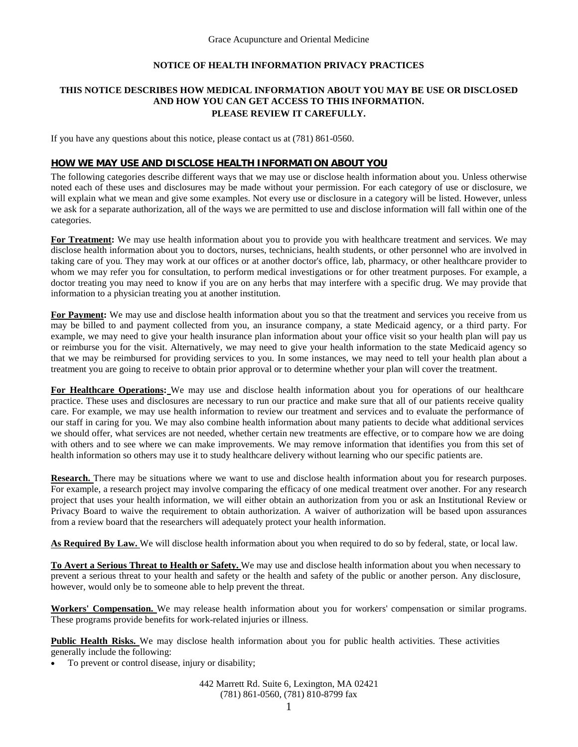# **NOTICE OF HEALTH INFORMATION PRIVACY PRACTICES**

## **THIS NOTICE DESCRIBES HOW MEDICAL INFORMATION ABOUT YOU MAY BE USE OR DISCLOSED AND HOW YOU CAN GET ACCESS TO THIS INFORMATION. PLEASE REVIEW IT CAREFULLY.**

If you have any questions about this notice, please contact us at (781) 861-0560.

### **HOW WE MAY USE AND DISCLOSE HEALTH INFORMATION ABOUT YOU**

The following categories describe different ways that we may use or disclose health information about you. Unless otherwise noted each of these uses and disclosures may be made without your permission. For each category of use or disclosure, we will explain what we mean and give some examples. Not every use or disclosure in a category will be listed. However, unless we ask for a separate authorization, all of the ways we are permitted to use and disclose information will fall within one of the categories.

For Treatment: We may use health information about you to provide you with healthcare treatment and services. We may disclose health information about you to doctors, nurses, technicians, health students, or other personnel who are involved in taking care of you. They may work at our offices or at another doctor's office, lab, pharmacy, or other healthcare provider to whom we may refer you for consultation, to perform medical investigations or for other treatment purposes. For example, a doctor treating you may need to know if you are on any herbs that may interfere with a specific drug. We may provide that information to a physician treating you at another institution.

For Payment: We may use and disclose health information about you so that the treatment and services you receive from us may be billed to and payment collected from you, an insurance company, a state Medicaid agency, or a third party. For example, we may need to give your health insurance plan information about your office visit so your health plan will pay us or reimburse you for the visit. Alternatively, we may need to give your health information to the state Medicaid agency so that we may be reimbursed for providing services to you. In some instances, we may need to tell your health plan about a treatment you are going to receive to obtain prior approval or to determine whether your plan will cover the treatment.

**For Healthcare Operations:** We may use and disclose health information about you for operations of our healthcare practice. These uses and disclosures are necessary to run our practice and make sure that all of our patients receive quality care. For example, we may use health information to review our treatment and services and to evaluate the performance of our staff in caring for you. We may also combine health information about many patients to decide what additional services we should offer, what services are not needed, whether certain new treatments are effective, or to compare how we are doing with others and to see where we can make improvements. We may remove information that identifies you from this set of health information so others may use it to study healthcare delivery without learning who our specific patients are.

**Research.** There may be situations where we want to use and disclose health information about you for research purposes. For example, a research project may involve comparing the efficacy of one medical treatment over another. For any research project that uses your health information, we will either obtain an authorization from you or ask an Institutional Review or Privacy Board to waive the requirement to obtain authorization. A waiver of authorization will be based upon assurances from a review board that the researchers will adequately protect your health information.

**As Required By Law.** We will disclose health information about you when required to do so by federal, state, or local law.

**To Avert a Serious Threat to Health or Safety.** We may use and disclose health information about you when necessary to prevent a serious threat to your health and safety or the health and safety of the public or another person. Any disclosure, however, would only be to someone able to help prevent the threat.

**Workers' Compensation.** We may release health information about you for workers' compensation or similar programs. These programs provide benefits for work-related injuries or illness.

**Public Health Risks.** We may disclose health information about you for public health activities. These activities generally include the following:

• To prevent or control disease, injury or disability;

442 Marrett Rd. Suite 6, Lexington, MA 02421 (781) 861-0560, (781) 810-8799 fax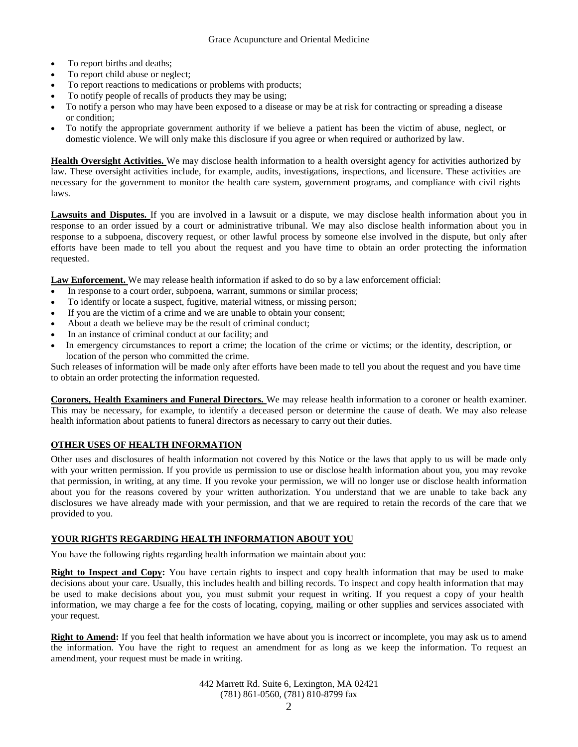- To report births and deaths;
- To report child abuse or neglect;
- To report reactions to medications or problems with products;
- To notify people of recalls of products they may be using;
- To notify a person who may have been exposed to a disease or may be at risk for contracting or spreading a disease or condition;
- To notify the appropriate government authority if we believe a patient has been the victim of abuse, neglect, or domestic violence. We will only make this disclosure if you agree or when required or authorized by law.

**Health Oversight Activities.** We may disclose health information to a health oversight agency for activities authorized by law. These oversight activities include, for example, audits, investigations, inspections, and licensure. These activities are necessary for the government to monitor the health care system, government programs, and compliance with civil rights laws.

Lawsuits and Disputes. If you are involved in a lawsuit or a dispute, we may disclose health information about you in response to an order issued by a court or administrative tribunal. We may also disclose health information about you in response to a subpoena, discovery request, or other lawful process by someone else involved in the dispute, but only after efforts have been made to tell you about the request and you have time to obtain an order protecting the information requested.

**Law Enforcement.** We may release health information if asked to do so by a law enforcement official:

- In response to a court order, subpoena, warrant, summons or similar process;
- To identify or locate a suspect, fugitive, material witness, or missing person;
- If you are the victim of a crime and we are unable to obtain your consent;
- About a death we believe may be the result of criminal conduct;
- In an instance of criminal conduct at our facility; and
- In emergency circumstances to report a crime; the location of the crime or victims; or the identity, description, or location of the person who committed the crime.

Such releases of information will be made only after efforts have been made to tell you about the request and you have time to obtain an order protecting the information requested.

**Coroners, Health Examiners and Funeral Directors.** We may release health information to a coroner or health examiner. This may be necessary, for example, to identify a deceased person or determine the cause of death. We may also release health information about patients to funeral directors as necessary to carry out their duties.

#### **OTHER USES OF HEALTH INFORMATION**

Other uses and disclosures of health information not covered by this Notice or the laws that apply to us will be made only with your written permission. If you provide us permission to use or disclose health information about you, you may revoke that permission, in writing, at any time. If you revoke your permission, we will no longer use or disclose health information about you for the reasons covered by your written authorization. You understand that we are unable to take back any disclosures we have already made with your permission, and that we are required to retain the records of the care that we provided to you.

#### **YOUR RIGHTS REGARDING HEALTH INFORMATION ABOUT YOU**

You have the following rights regarding health information we maintain about you:

**Right to Inspect and Copy:** You have certain rights to inspect and copy health information that may be used to make decisions about your care. Usually, this includes health and billing records. To inspect and copy health information that may be used to make decisions about you, you must submit your request in writing. If you request a copy of your health information, we may charge a fee for the costs of locating, copying, mailing or other supplies and services associated with your request.

**Right to Amend:** If you feel that health information we have about you is incorrect or incomplete, you may ask us to amend the information. You have the right to request an amendment for as long as we keep the information. To request an amendment, your request must be made in writing.

> 442 Marrett Rd. Suite 6, Lexington, MA 02421 (781) 861-0560, (781) 810-8799 fax